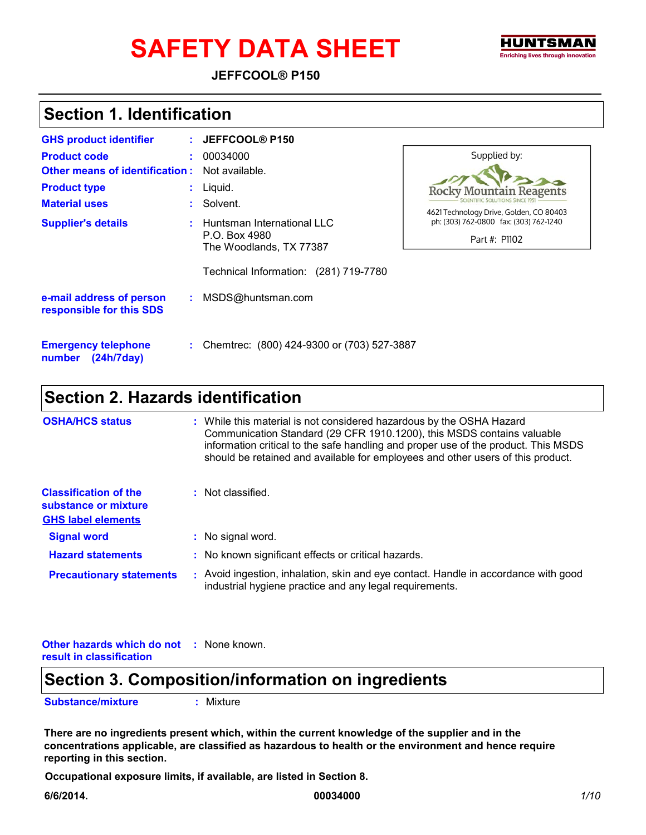# SAFETY DATA SHEET FIND THE THE THE TREATING INCORPORATING INCORPORATING INCORPORATING INCORPORATING INCORPORATING INCORPORATING INCORPORATING THE OF THE OFFICE THE ORDER INCORPORATING INCORPORATING THE OFFICE THE ORDER THE

**JEFFCOOL® P150**

### **Section 1. Identification**

| <b>GHS product identifier</b>                        | JEFFCOOL® P150                               |                                                                         |
|------------------------------------------------------|----------------------------------------------|-------------------------------------------------------------------------|
| <b>Product code</b>                                  | 00034000                                     | Supplied by:                                                            |
| <b>Other means of identification:</b>                | Not available.                               |                                                                         |
| <b>Product type</b>                                  | $:$ Liquid.                                  | <b>Rocky Mountain Reagents</b>                                          |
| <b>Material uses</b>                                 | : Solvent.                                   | IENTIFIC SOLUTIONS SINCE 195<br>4621 Technology Drive, Golden, CO 80403 |
| <b>Supplier's details</b>                            | Huntsman International LLC                   | ph: (303) 762-0800 fax: (303) 762-1240                                  |
|                                                      | P.O. Box 4980<br>The Woodlands, TX 77387     | Part #: P1102                                                           |
|                                                      | Technical Information: (281) 719-7780        |                                                                         |
| e-mail address of person<br>responsible for this SDS | : MSDS@huntsman.com                          |                                                                         |
| <b>Emergency telephone</b><br>(24h/7day)<br>number   | : Chemtrec: (800) 424-9300 or (703) 527-3887 |                                                                         |

### **Section 2. Hazards identification**

| <b>OSHA/HCS status</b>                                                            | : While this material is not considered hazardous by the OSHA Hazard<br>Communication Standard (29 CFR 1910.1200), this MSDS contains valuable<br>information critical to the safe handling and proper use of the product. This MSDS<br>should be retained and available for employees and other users of this product. |
|-----------------------------------------------------------------------------------|-------------------------------------------------------------------------------------------------------------------------------------------------------------------------------------------------------------------------------------------------------------------------------------------------------------------------|
| <b>Classification of the</b><br>substance or mixture<br><b>GHS label elements</b> | : Not classified.                                                                                                                                                                                                                                                                                                       |
| <b>Signal word</b>                                                                | : No signal word.                                                                                                                                                                                                                                                                                                       |
| <b>Hazard statements</b>                                                          | : No known significant effects or critical hazards.                                                                                                                                                                                                                                                                     |
| <b>Precautionary statements</b>                                                   | : Avoid ingestion, inhalation, skin and eye contact. Handle in accordance with good<br>industrial hygiene practice and any legal requirements.                                                                                                                                                                          |

**Other hazards which do not : None known. result in classification**

### **Section 3. Composition/information on ingredients**

**Substance/mixture :** Mixture

**There are no ingredients present which, within the current knowledge of the supplier and in the concentrations applicable, are classified as hazardous to health or the environment and hence require reporting in this section.**

**Occupational exposure limits, if available, are listed in Section 8.**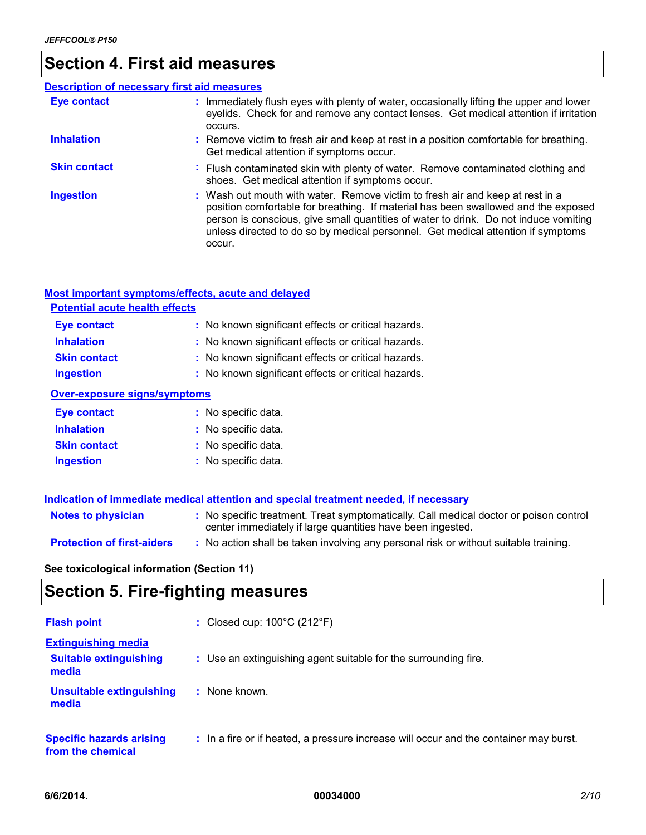# **Section 4. First aid measures**

| <b>Description of necessary first aid measures</b> |                                                                                                                                                                                                                                                                                                                                                           |
|----------------------------------------------------|-----------------------------------------------------------------------------------------------------------------------------------------------------------------------------------------------------------------------------------------------------------------------------------------------------------------------------------------------------------|
| <b>Eye contact</b>                                 | : Immediately flush eyes with plenty of water, occasionally lifting the upper and lower<br>eyelids. Check for and remove any contact lenses. Get medical attention if irritation<br>occurs.                                                                                                                                                               |
| <b>Inhalation</b>                                  | : Remove victim to fresh air and keep at rest in a position comfortable for breathing.<br>Get medical attention if symptoms occur.                                                                                                                                                                                                                        |
| <b>Skin contact</b>                                | : Flush contaminated skin with plenty of water. Remove contaminated clothing and<br>shoes. Get medical attention if symptoms occur.                                                                                                                                                                                                                       |
| <b>Ingestion</b>                                   | : Wash out mouth with water. Remove victim to fresh air and keep at rest in a<br>position comfortable for breathing. If material has been swallowed and the exposed<br>person is conscious, give small quantities of water to drink. Do not induce vomiting<br>unless directed to do so by medical personnel. Get medical attention if symptoms<br>occur. |

#### **Most important symptoms/effects, acute and delayed**

| <b>Potential acute health effects</b> |                                                     |
|---------------------------------------|-----------------------------------------------------|
| <b>Eye contact</b>                    | : No known significant effects or critical hazards. |
| <b>Inhalation</b>                     | : No known significant effects or critical hazards. |
| <b>Skin contact</b>                   | : No known significant effects or critical hazards. |
| <b>Ingestion</b>                      | : No known significant effects or critical hazards. |
| Over-exposure signs/symptoms          |                                                     |
| <b>Eye contact</b>                    | : No specific data.                                 |
| <b>Inhalation</b>                     | : No specific data.                                 |

| <b>Skin contact</b> | : No specific data. |
|---------------------|---------------------|
| Ingestion           | : No specific data. |

|                                   | Indication of immediate medical attention and special treatment needed, if necessary                                                                |
|-----------------------------------|-----------------------------------------------------------------------------------------------------------------------------------------------------|
| <b>Notes to physician</b>         | : No specific treatment. Treat symptomatically. Call medical doctor or poison control<br>center immediately if large quantities have been ingested. |
| <b>Protection of first-aiders</b> | : No action shall be taken involving any personal risk or without suitable training.                                                                |

**See toxicological information (Section 11)**

# **Section 5. Fire-fighting measures**

| <b>Flash point</b>                                                   | : Closed cup: $100^{\circ}$ C (212 $^{\circ}$ F)                                      |
|----------------------------------------------------------------------|---------------------------------------------------------------------------------------|
| <b>Extinguishing media</b><br><b>Suitable extinguishing</b><br>media | : Use an extinguishing agent suitable for the surrounding fire.                       |
| <b>Unsuitable extinguishing</b><br>media                             | : None known.                                                                         |
| <b>Specific hazards arising</b><br>from the chemical                 | : In a fire or if heated, a pressure increase will occur and the container may burst. |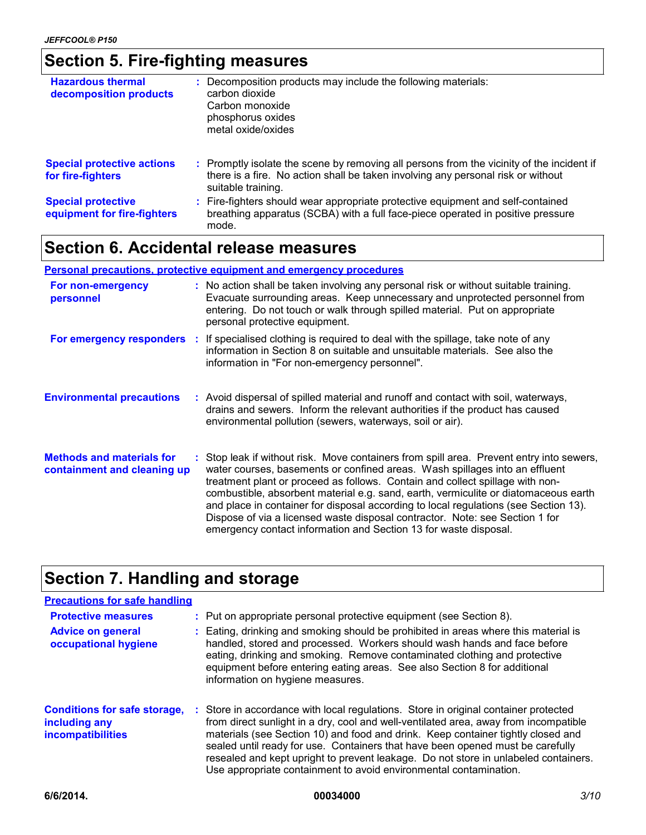# **Section 5. Fire-fighting measures**

| <b>Hazardous thermal</b><br>decomposition products       | : Decomposition products may include the following materials:<br>carbon dioxide<br>Carbon monoxide<br>phosphorus oxides<br>metal oxide/oxides                                                       |
|----------------------------------------------------------|-----------------------------------------------------------------------------------------------------------------------------------------------------------------------------------------------------|
| <b>Special protective actions</b><br>for fire-fighters   | : Promptly isolate the scene by removing all persons from the vicinity of the incident if<br>there is a fire. No action shall be taken involving any personal risk or without<br>suitable training. |
| <b>Special protective</b><br>equipment for fire-fighters | : Fire-fighters should wear appropriate protective equipment and self-contained<br>breathing apparatus (SCBA) with a full face-piece operated in positive pressure<br>mode.                         |

### **Section 6. Accidental release measures**

#### **Personal precautions, protective equipment and emergency procedures**

| For non-emergency<br>personnel                                  | : No action shall be taken involving any personal risk or without suitable training.<br>Evacuate surrounding areas. Keep unnecessary and unprotected personnel from<br>entering. Do not touch or walk through spilled material. Put on appropriate<br>personal protective equipment.                                                                                                                                                                                                                                                                                                        |
|-----------------------------------------------------------------|---------------------------------------------------------------------------------------------------------------------------------------------------------------------------------------------------------------------------------------------------------------------------------------------------------------------------------------------------------------------------------------------------------------------------------------------------------------------------------------------------------------------------------------------------------------------------------------------|
|                                                                 | <b>For emergency responders</b> : If specialised clothing is required to deal with the spillage, take note of any<br>information in Section 8 on suitable and unsuitable materials. See also the<br>information in "For non-emergency personnel".                                                                                                                                                                                                                                                                                                                                           |
| <b>Environmental precautions</b>                                | : Avoid dispersal of spilled material and runoff and contact with soil, waterways,<br>drains and sewers. Inform the relevant authorities if the product has caused<br>environmental pollution (sewers, waterways, soil or air).                                                                                                                                                                                                                                                                                                                                                             |
| <b>Methods and materials for</b><br>containment and cleaning up | : Stop leak if without risk. Move containers from spill area. Prevent entry into sewers,<br>water courses, basements or confined areas. Wash spillages into an effluent<br>treatment plant or proceed as follows. Contain and collect spillage with non-<br>combustible, absorbent material e.g. sand, earth, vermiculite or diatomaceous earth<br>and place in container for disposal according to local regulations (see Section 13).<br>Dispose of via a licensed waste disposal contractor. Note: see Section 1 for<br>emergency contact information and Section 13 for waste disposal. |

# **Section 7. Handling and storage**

| <b>Precautions for safe handling</b>                                             |                                                                                                                                                                                                                                                                                                                                                                                                                                                                                                               |
|----------------------------------------------------------------------------------|---------------------------------------------------------------------------------------------------------------------------------------------------------------------------------------------------------------------------------------------------------------------------------------------------------------------------------------------------------------------------------------------------------------------------------------------------------------------------------------------------------------|
| <b>Protective measures</b>                                                       | : Put on appropriate personal protective equipment (see Section 8).                                                                                                                                                                                                                                                                                                                                                                                                                                           |
| <b>Advice on general</b><br>occupational hygiene                                 | : Eating, drinking and smoking should be prohibited in areas where this material is<br>handled, stored and processed. Workers should wash hands and face before<br>eating, drinking and smoking. Remove contaminated clothing and protective<br>equipment before entering eating areas. See also Section 8 for additional<br>information on hygiene measures.                                                                                                                                                 |
| <b>Conditions for safe storage,</b><br>including any<br><b>incompatibilities</b> | : Store in accordance with local regulations. Store in original container protected<br>from direct sunlight in a dry, cool and well-ventilated area, away from incompatible<br>materials (see Section 10) and food and drink. Keep container tightly closed and<br>sealed until ready for use. Containers that have been opened must be carefully<br>resealed and kept upright to prevent leakage. Do not store in unlabeled containers.<br>Use appropriate containment to avoid environmental contamination. |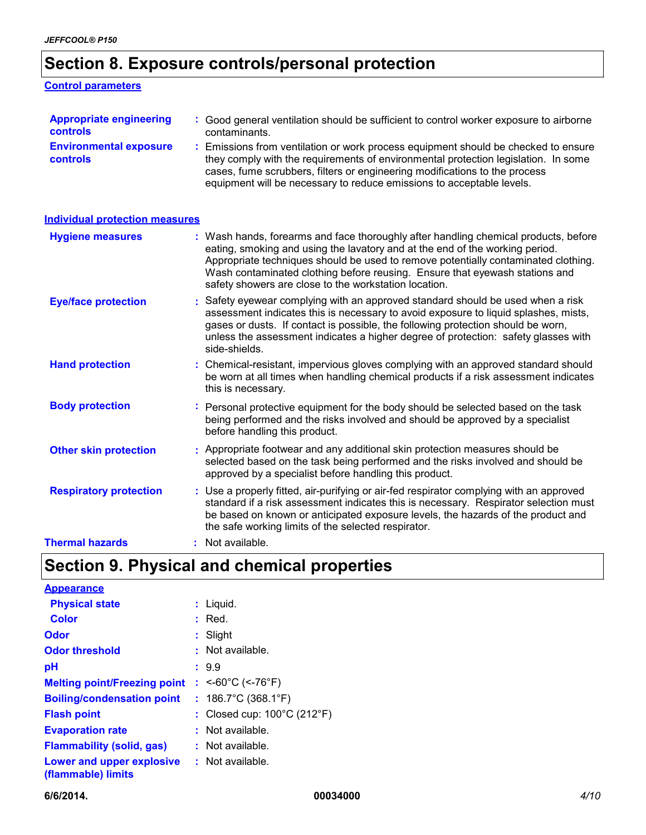# **Section 8. Exposure controls/personal protection**

#### **Control parameters**

| <b>Appropriate engineering</b>                   | : Good general ventilation should be sufficient to control worker exposure to airborne                                                                                                                                                                                                                                          |
|--------------------------------------------------|---------------------------------------------------------------------------------------------------------------------------------------------------------------------------------------------------------------------------------------------------------------------------------------------------------------------------------|
| controls                                         | contaminants.                                                                                                                                                                                                                                                                                                                   |
| <b>Environmental exposure</b><br><b>controls</b> | : Emissions from ventilation or work process equipment should be checked to ensure<br>they comply with the requirements of environmental protection legislation. In some<br>cases, fume scrubbers, filters or engineering modifications to the process<br>equipment will be necessary to reduce emissions to acceptable levels. |

| <b>Individual protection measures</b> |                                                                                                                                                                                                                                                                                                                                                                                                   |
|---------------------------------------|---------------------------------------------------------------------------------------------------------------------------------------------------------------------------------------------------------------------------------------------------------------------------------------------------------------------------------------------------------------------------------------------------|
| <b>Hygiene measures</b>               | : Wash hands, forearms and face thoroughly after handling chemical products, before<br>eating, smoking and using the lavatory and at the end of the working period.<br>Appropriate techniques should be used to remove potentially contaminated clothing.<br>Wash contaminated clothing before reusing. Ensure that eyewash stations and<br>safety showers are close to the workstation location. |
| <b>Eye/face protection</b>            | : Safety eyewear complying with an approved standard should be used when a risk<br>assessment indicates this is necessary to avoid exposure to liquid splashes, mists,<br>gases or dusts. If contact is possible, the following protection should be worn,<br>unless the assessment indicates a higher degree of protection: safety glasses with<br>side-shields.                                 |
| <b>Hand protection</b>                | : Chemical-resistant, impervious gloves complying with an approved standard should<br>be worn at all times when handling chemical products if a risk assessment indicates<br>this is necessary.                                                                                                                                                                                                   |
| <b>Body protection</b>                | : Personal protective equipment for the body should be selected based on the task<br>being performed and the risks involved and should be approved by a specialist<br>before handling this product.                                                                                                                                                                                               |
| <b>Other skin protection</b>          | : Appropriate footwear and any additional skin protection measures should be<br>selected based on the task being performed and the risks involved and should be<br>approved by a specialist before handling this product.                                                                                                                                                                         |
| <b>Respiratory protection</b>         | : Use a properly fitted, air-purifying or air-fed respirator complying with an approved<br>standard if a risk assessment indicates this is necessary. Respirator selection must<br>be based on known or anticipated exposure levels, the hazards of the product and<br>the safe working limits of the selected respirator.                                                                        |
| <b>Thermal hazards</b>                | $:$ Not available.                                                                                                                                                                                                                                                                                                                                                                                |

# **Section 9. Physical and chemical properties**

| <b>Appearance</b>                               |                                                  |
|-------------------------------------------------|--------------------------------------------------|
| <b>Physical state</b>                           | $:$ Liquid.                                      |
| <b>Color</b>                                    | Red.                                             |
| Odor                                            | Slight                                           |
| <b>Odor threshold</b>                           | Not available.                                   |
| рH                                              | : 9.9                                            |
| <b>Melting point/Freezing point</b>             | : $<$ -60°C (<-76°F)                             |
| <b>Boiling/condensation point</b>               | : $186.7^{\circ}$ C (368.1 $^{\circ}$ F)         |
| <b>Flash point</b>                              | : Closed cup: $100^{\circ}$ C (212 $^{\circ}$ F) |
| <b>Evaporation rate</b>                         | Not available.                                   |
| <b>Flammability (solid, gas)</b>                | $:$ Not available.                               |
| Lower and upper explosive<br>(flammable) limits | $:$ Not available.                               |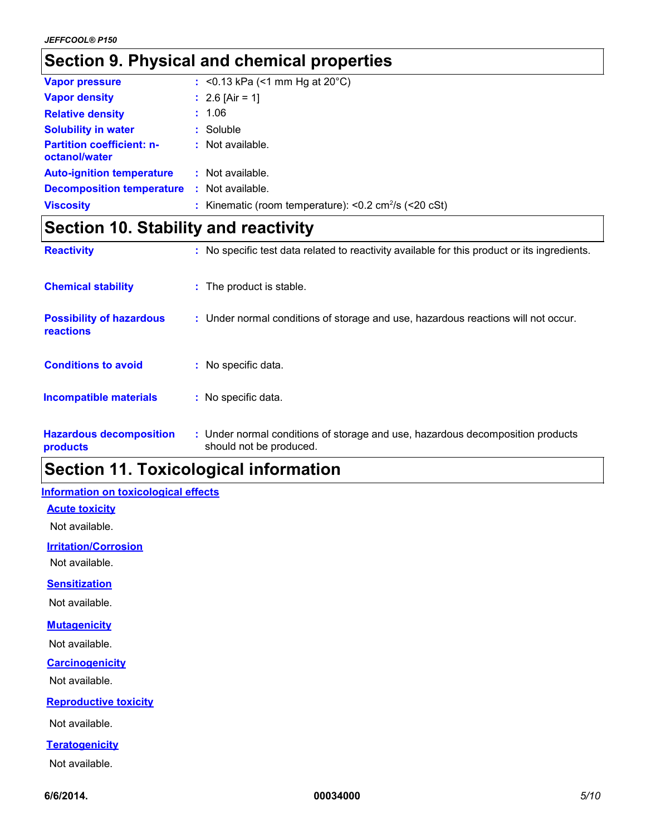### **Section 9. Physical and chemical properties**

| <b>Vapor pressure</b>                             |    | : $< 0.13$ kPa (<1 mm Hg at 20°C)                                        |
|---------------------------------------------------|----|--------------------------------------------------------------------------|
| <b>Vapor density</b>                              |    | : $2.6$ [Air = 1]                                                        |
| <b>Relative density</b>                           |    | : 1.06                                                                   |
| <b>Solubility in water</b>                        |    | $:$ Soluble                                                              |
| <b>Partition coefficient: n-</b><br>octanol/water |    | $:$ Not available.                                                       |
| <b>Auto-ignition temperature</b>                  |    | $:$ Not available.                                                       |
| <b>Decomposition temperature</b>                  | ÷. | Not available.                                                           |
| <b>Viscosity</b>                                  |    | : Kinematic (room temperature): $< 0.2$ cm <sup>2</sup> /s ( $< 20$ cSt) |

### **Section 10. Stability and reactivity**

| <b>Reactivity</b>                            | : No specific test data related to reactivity available for this product or its ingredients.              |
|----------------------------------------------|-----------------------------------------------------------------------------------------------------------|
| <b>Chemical stability</b>                    | : The product is stable.                                                                                  |
| <b>Possibility of hazardous</b><br>reactions | : Under normal conditions of storage and use, hazardous reactions will not occur.                         |
| <b>Conditions to avoid</b>                   | : No specific data.                                                                                       |
| <b>Incompatible materials</b>                | : No specific data.                                                                                       |
| <b>Hazardous decomposition</b><br>products   | : Under normal conditions of storage and use, hazardous decomposition products<br>should not be produced. |

# **Section 11. Toxicological information**

#### **Information on toxicological effects**

#### **Acute toxicity**

Not available.

**Irritation/Corrosion**

Not available.

#### **Sensitization**

Not available.

#### **Mutagenicity**

Not available.

#### **Carcinogenicity**

Not available.

#### **Reproductive toxicity**

Not available.

#### **Teratogenicity**

Not available.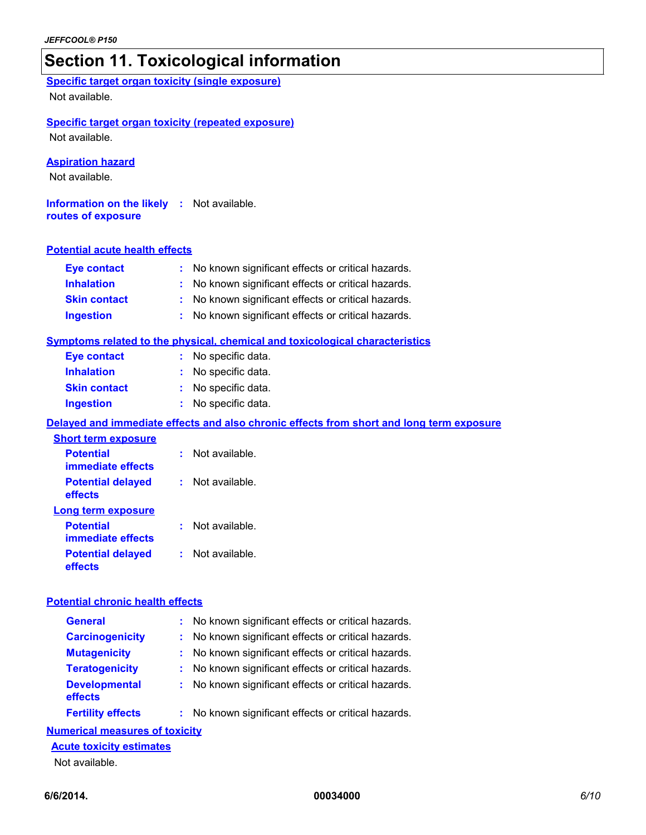### **Section 11. Toxicological information**

**Specific target organ toxicity (single exposure)** Not available.

#### **Specific target organ toxicity (repeated exposure)**

Not available.

#### **Aspiration hazard**

Not available.

**Information on the likely :** Not available. **routes of exposure**

#### **Potential acute health effects**

| <b>Eye contact</b>  | : No known significant effects or critical hazards. |
|---------------------|-----------------------------------------------------|
| <b>Inhalation</b>   | : No known significant effects or critical hazards. |
| <b>Skin contact</b> | : No known significant effects or critical hazards. |
| <b>Ingestion</b>    | : No known significant effects or critical hazards. |

#### **Symptoms related to the physical, chemical and toxicological characteristics**

| <b>Eye contact</b>  | : No specific data. |
|---------------------|---------------------|
| <b>Inhalation</b>   | : No specific data. |
| <b>Skin contact</b> | : No specific data. |
| <b>Ingestion</b>    | : No specific data. |

#### **Delayed and immediate effects and also chronic effects from short and long term exposure**

| <b>Short term exposure</b>            |                      |
|---------------------------------------|----------------------|
| <b>Potential</b><br>immediate effects | Not available.       |
| <b>Potential delayed</b><br>effects   | Not available.<br>t. |
| Long term exposure                    |                      |
| <b>Potential</b><br>immediate effects | Not available.       |
| <b>Potential delayed</b><br>effects   | Not available.       |

#### **Potential chronic health effects**

| <b>General</b>                  | : No known significant effects or critical hazards. |
|---------------------------------|-----------------------------------------------------|
| <b>Carcinogenicity</b>          | : No known significant effects or critical hazards. |
| <b>Mutagenicity</b>             | : No known significant effects or critical hazards. |
| <b>Teratogenicity</b>           | : No known significant effects or critical hazards. |
| <b>Developmental</b><br>effects | : No known significant effects or critical hazards. |
| <b>Fertility effects</b>        | : No known significant effects or critical hazards. |

#### **Numerical measures of toxicity**

#### **Acute toxicity estimates**

Not available.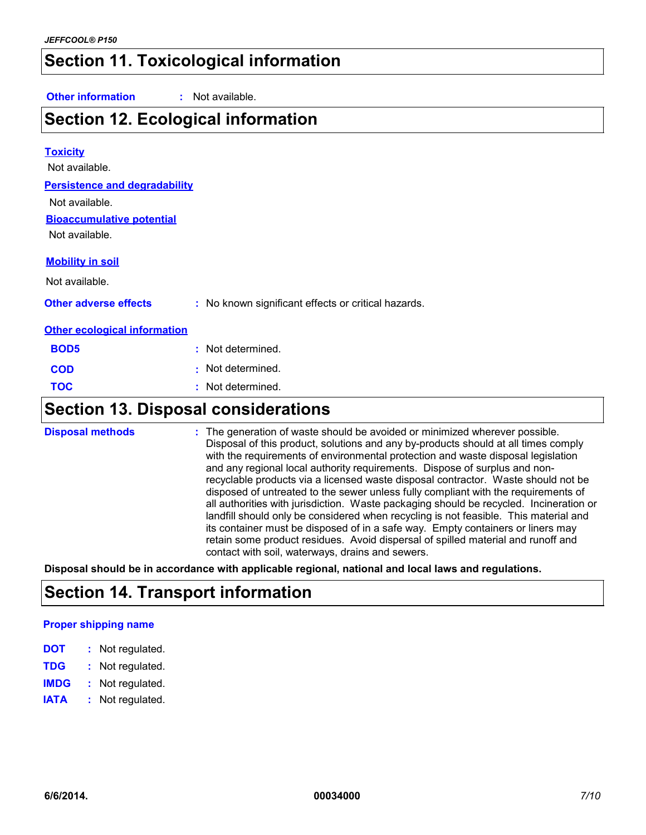### **Section 11. Toxicological information**

**Other information :** Not available.

### **Section 12. Ecological information**

### **Toxicity Persistence and degradability Bioaccumulative potential** Not available. **Other adverse effects** : No known significant effects or critical hazards. **Other ecological information BOD5 COD TOC :** Not determined. **:** Not determined. **:** Not determined. **Mobility in soil** Not available. Not available. Not available.

# **Section 13. Disposal considerations**

| <b>Disposal methods</b> | : The generation of waste should be avoided or minimized wherever possible.<br>Disposal of this product, solutions and any by-products should at all times comply<br>with the requirements of environmental protection and waste disposal legislation<br>and any regional local authority requirements. Dispose of surplus and non-<br>recyclable products via a licensed waste disposal contractor. Waste should not be<br>disposed of untreated to the sewer unless fully compliant with the requirements of<br>all authorities with jurisdiction. Waste packaging should be recycled. Incineration or<br>landfill should only be considered when recycling is not feasible. This material and<br>its container must be disposed of in a safe way. Empty containers or liners may<br>retain some product residues. Avoid dispersal of spilled material and runoff and<br>contact with soil, waterways, drains and sewers. |
|-------------------------|-----------------------------------------------------------------------------------------------------------------------------------------------------------------------------------------------------------------------------------------------------------------------------------------------------------------------------------------------------------------------------------------------------------------------------------------------------------------------------------------------------------------------------------------------------------------------------------------------------------------------------------------------------------------------------------------------------------------------------------------------------------------------------------------------------------------------------------------------------------------------------------------------------------------------------|
|-------------------------|-----------------------------------------------------------------------------------------------------------------------------------------------------------------------------------------------------------------------------------------------------------------------------------------------------------------------------------------------------------------------------------------------------------------------------------------------------------------------------------------------------------------------------------------------------------------------------------------------------------------------------------------------------------------------------------------------------------------------------------------------------------------------------------------------------------------------------------------------------------------------------------------------------------------------------|

**Disposal should be in accordance with applicable regional, national and local laws and regulations.**

### **Section 14. Transport information**

#### **Proper shipping name**

| DOT<br>Not regulated. |
|-----------------------|
|-----------------------|

- **TDG :** Not regulated.
- **IMDG :** Not regulated.
- **IATA :** Not regulated.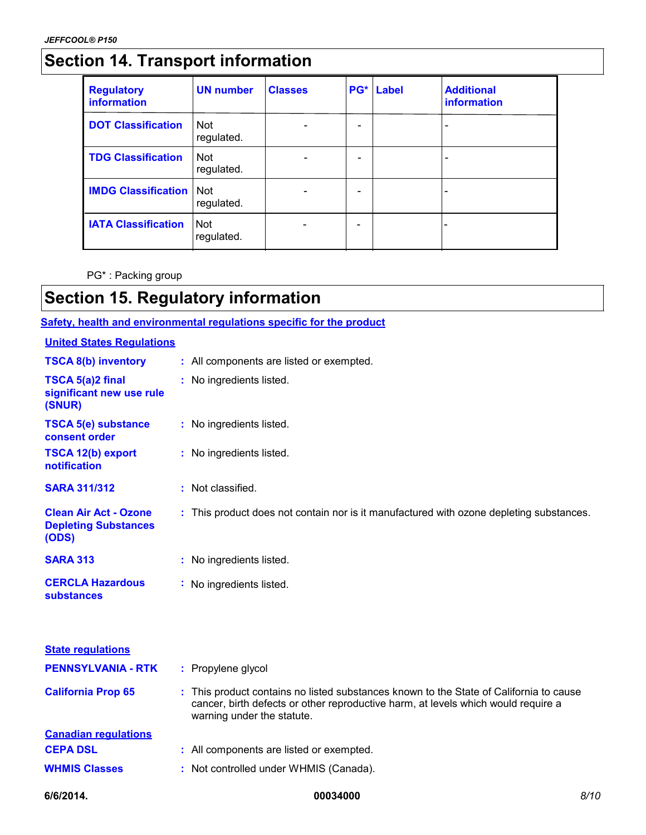# **Section 14. Transport information**

| <b>Regulatory</b><br>information | <b>UN number</b>         | <b>Classes</b> | PG* | Label | <b>Additional</b><br>information |
|----------------------------------|--------------------------|----------------|-----|-------|----------------------------------|
| <b>DOT Classification</b>        | <b>Not</b><br>regulated. |                | -   |       |                                  |
| <b>TDG Classification</b>        | <b>Not</b><br>regulated. |                |     |       |                                  |
| <b>IMDG Classification</b>       | <b>Not</b><br>regulated. |                |     |       |                                  |
| <b>IATA Classification</b>       | <b>Not</b><br>regulated. |                |     |       |                                  |

PG\* : Packing group

# **Section 15. Regulatory information**

#### **Safety, health and environmental regulations specific for the product**

#### **United States Regulations**

| 6/6/2014.                                                            | 00034000                                                                                                                                                                                                  | 8/10 |
|----------------------------------------------------------------------|-----------------------------------------------------------------------------------------------------------------------------------------------------------------------------------------------------------|------|
| <b>WHMIS Classes</b>                                                 | : Not controlled under WHMIS (Canada).                                                                                                                                                                    |      |
| <b>CEPA DSL</b>                                                      | : All components are listed or exempted.                                                                                                                                                                  |      |
| <b>Canadian requlations</b>                                          |                                                                                                                                                                                                           |      |
| <b>California Prop 65</b>                                            | : This product contains no listed substances known to the State of California to cause<br>cancer, birth defects or other reproductive harm, at levels which would require a<br>warning under the statute. |      |
| <b>PENNSYLVANIA - RTK</b>                                            | : Propylene glycol                                                                                                                                                                                        |      |
| <b>State requlations</b>                                             |                                                                                                                                                                                                           |      |
| <b>CERCLA Hazardous</b><br><b>substances</b>                         | : No ingredients listed.                                                                                                                                                                                  |      |
| <b>SARA 313</b>                                                      | : No ingredients listed.                                                                                                                                                                                  |      |
| <b>Clean Air Act - Ozone</b><br><b>Depleting Substances</b><br>(ODS) | : This product does not contain nor is it manufactured with ozone depleting substances.                                                                                                                   |      |
| <b>SARA 311/312</b>                                                  | : Not classified.                                                                                                                                                                                         |      |
| <b>TSCA 12(b) export</b><br>notification                             | : No ingredients listed.                                                                                                                                                                                  |      |
| <b>TSCA 5(e) substance</b><br>consent order                          | : No ingredients listed.                                                                                                                                                                                  |      |
| TSCA 5(a)2 final<br>significant new use rule<br>(SNUR)               | : No ingredients listed.                                                                                                                                                                                  |      |
| <b>TSCA 8(b) inventory</b>                                           | : All components are listed or exempted.                                                                                                                                                                  |      |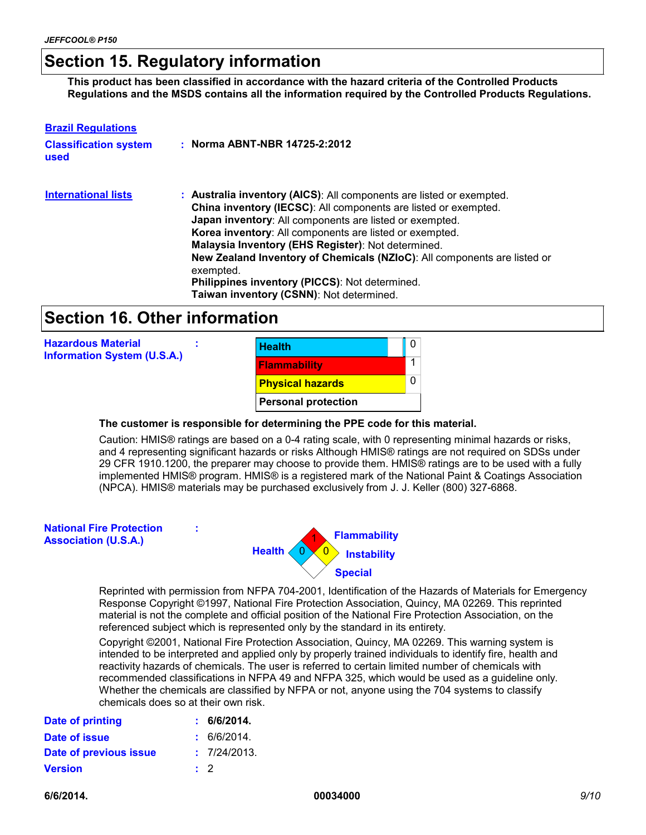### **Section 15. Regulatory information**

**This product has been classified in accordance with the hazard criteria of the Controlled Products Regulations and the MSDS contains all the information required by the Controlled Products Regulations.**

| <b>Brazil Regulations</b><br><b>Classification system</b><br>used | : Norma ABNT-NBR 14725-2:2012                                                                                                                                                                                                                                                                                                                                                                                                                                                                              |
|-------------------------------------------------------------------|------------------------------------------------------------------------------------------------------------------------------------------------------------------------------------------------------------------------------------------------------------------------------------------------------------------------------------------------------------------------------------------------------------------------------------------------------------------------------------------------------------|
| <b>International lists</b>                                        | : Australia inventory (AICS): All components are listed or exempted.<br>China inventory (IECSC): All components are listed or exempted.<br>Japan inventory: All components are listed or exempted.<br>Korea inventory: All components are listed or exempted.<br>Malaysia Inventory (EHS Register): Not determined.<br>New Zealand Inventory of Chemicals (NZIoC): All components are listed or<br>exempted.<br>Philippines inventory (PICCS): Not determined.<br>Taiwan inventory (CSNN): Not determined. |

### **Section 16. Other information**

**:**

**Hazardous Material Information System (U.S.A.)**



#### **The customer is responsible for determining the PPE code for this material.**

Caution: HMIS® ratings are based on a 0-4 rating scale, with 0 representing minimal hazards or risks, and 4 representing significant hazards or risks Although HMIS® ratings are not required on SDSs under 29 CFR 1910.1200, the preparer may choose to provide them. HMIS® ratings are to be used with a fully implemented HMIS® program. HMIS® is a registered mark of the National Paint & Coatings Association (NPCA). HMIS® materials may be purchased exclusively from J. J. Keller (800) 327-6868.

| <b>National Fire Protection</b><br><b>Association (U.S.A.)</b> | ÷<br><b>Flammability</b><br><b>1</b> Instability<br>Health $\langle 0 \rangle$<br><b>Special</b>                                                                   |
|----------------------------------------------------------------|--------------------------------------------------------------------------------------------------------------------------------------------------------------------|
|                                                                | Reprinted with permission from NFPA 704-2001, Identification of the Hazards of M<br>Response Copyright ©1997, National Fire Protection Association, Quincy, MA 022 |

Repriate for Emergency 89. This reprinted material is not the complete and official position of the National Fire Protection Association, on the referenced subject which is represented only by the standard in its entirety.

Copyright ©2001, National Fire Protection Association, Quincy, MA 02269. This warning system is intended to be interpreted and applied only by properly trained individuals to identify fire, health and reactivity hazards of chemicals. The user is referred to certain limited number of chemicals with recommended classifications in NFPA 49 and NFPA 325, which would be used as a guideline only. Whether the chemicals are classified by NFPA or not, anyone using the 704 systems to classify chemicals does so at their own risk.

| <b>Date of printing</b> |           | : 6/6/2014.  |
|-------------------------|-----------|--------------|
| Date of issue           |           | : 6/6/2014.  |
| Date of previous issue  |           | : 7/24/2013. |
| <b>Version</b>          | $\cdot$ 2 |              |

**6/6/2014. 00034000** *9/10*